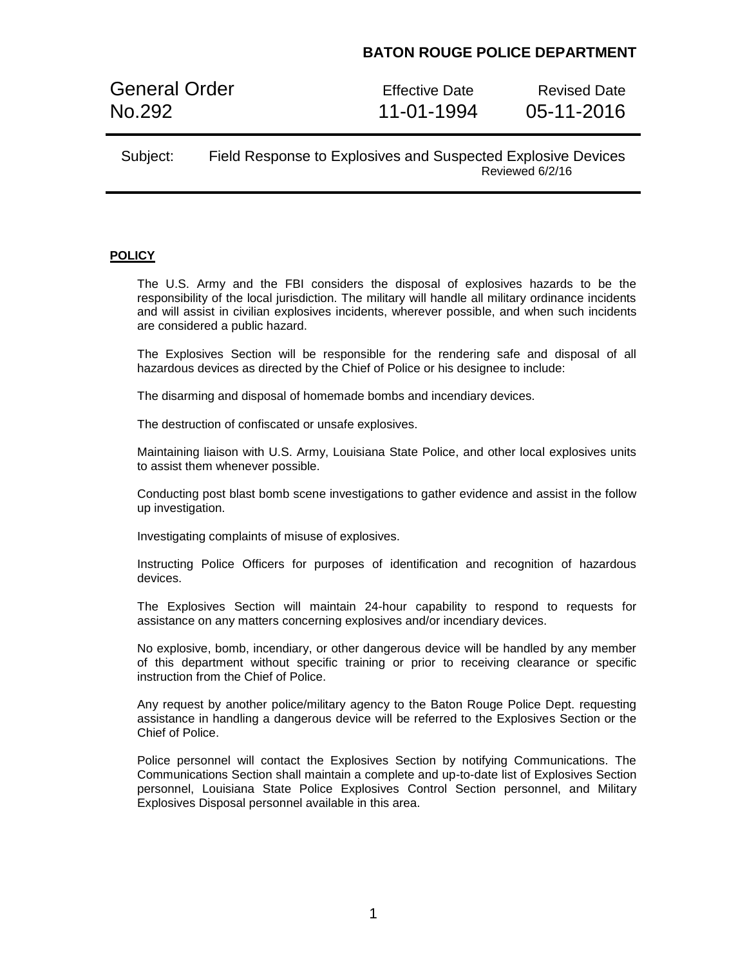General Order **Effective Date** Revised Date No.292 11-01-1994 05-11-2016

### Subject: Field Response to Explosives and Suspected Explosive Devices Reviewed 6/2/16

#### **POLICY**

The U.S. Army and the FBI considers the disposal of explosives hazards to be the responsibility of the local jurisdiction. The military will handle all military ordinance incidents and will assist in civilian explosives incidents, wherever possible, and when such incidents are considered a public hazard.

The Explosives Section will be responsible for the rendering safe and disposal of all hazardous devices as directed by the Chief of Police or his designee to include:

The disarming and disposal of homemade bombs and incendiary devices.

The destruction of confiscated or unsafe explosives.

Maintaining liaison with U.S. Army, Louisiana State Police, and other local explosives units to assist them whenever possible.

Conducting post blast bomb scene investigations to gather evidence and assist in the follow up investigation.

Investigating complaints of misuse of explosives.

Instructing Police Officers for purposes of identification and recognition of hazardous devices.

The Explosives Section will maintain 24-hour capability to respond to requests for assistance on any matters concerning explosives and/or incendiary devices.

No explosive, bomb, incendiary, or other dangerous device will be handled by any member of this department without specific training or prior to receiving clearance or specific instruction from the Chief of Police.

Any request by another police/military agency to the Baton Rouge Police Dept. requesting assistance in handling a dangerous device will be referred to the Explosives Section or the Chief of Police.

Police personnel will contact the Explosives Section by notifying Communications. The Communications Section shall maintain a complete and up-to-date list of Explosives Section personnel, Louisiana State Police Explosives Control Section personnel, and Military Explosives Disposal personnel available in this area.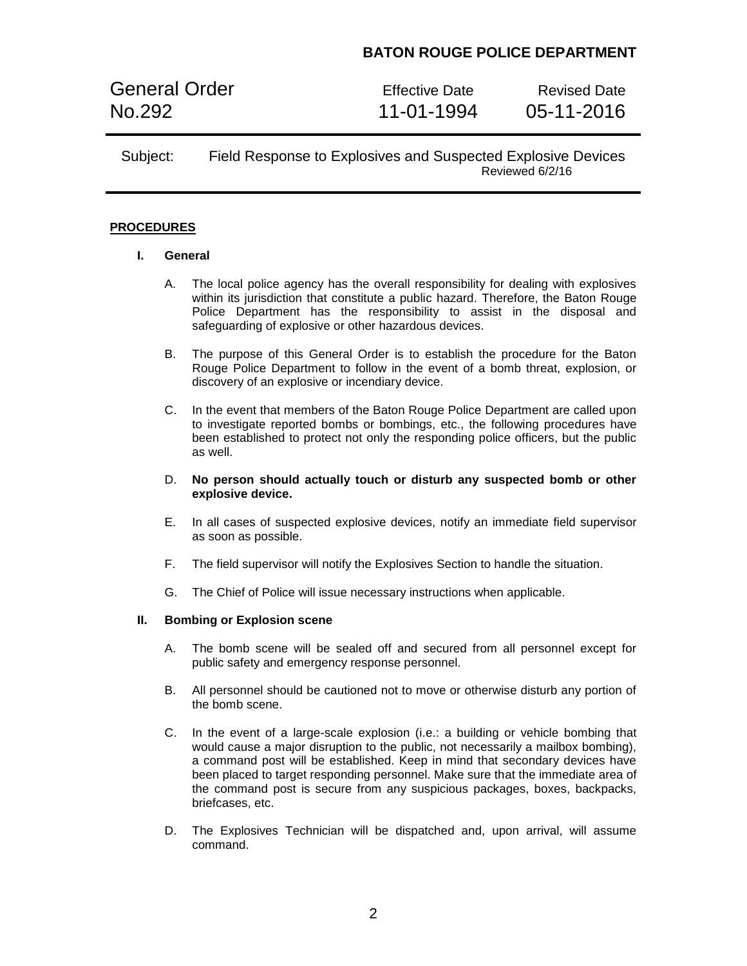General Order **Effective Date** Revised Date No.292 11-01-1994 05-11-2016

### Subject: Field Response to Explosives and Suspected Explosive Devices Reviewed 6/2/16

#### **PROCEDURES**

#### **I. General**

- A. The local police agency has the overall responsibility for dealing with explosives within its jurisdiction that constitute a public hazard. Therefore, the Baton Rouge Police Department has the responsibility to assist in the disposal and safeguarding of explosive or other hazardous devices.
- B. The purpose of this General Order is to establish the procedure for the Baton Rouge Police Department to follow in the event of a bomb threat, explosion, or discovery of an explosive or incendiary device.
- C. In the event that members of the Baton Rouge Police Department are called upon to investigate reported bombs or bombings, etc., the following procedures have been established to protect not only the responding police officers, but the public as well.
- D. **No person should actually touch or disturb any suspected bomb or other explosive device.**
- E. In all cases of suspected explosive devices, notify an immediate field supervisor as soon as possible.
- F. The field supervisor will notify the Explosives Section to handle the situation.
- G. The Chief of Police will issue necessary instructions when applicable.

#### **II. Bombing or Explosion scene**

- A. The bomb scene will be sealed off and secured from all personnel except for public safety and emergency response personnel.
- B. All personnel should be cautioned not to move or otherwise disturb any portion of the bomb scene.
- C. In the event of a large-scale explosion (i.e.: a building or vehicle bombing that would cause a major disruption to the public, not necessarily a mailbox bombing), a command post will be established. Keep in mind that secondary devices have been placed to target responding personnel. Make sure that the immediate area of the command post is secure from any suspicious packages, boxes, backpacks, briefcases, etc.
- D. The Explosives Technician will be dispatched and, upon arrival, will assume command.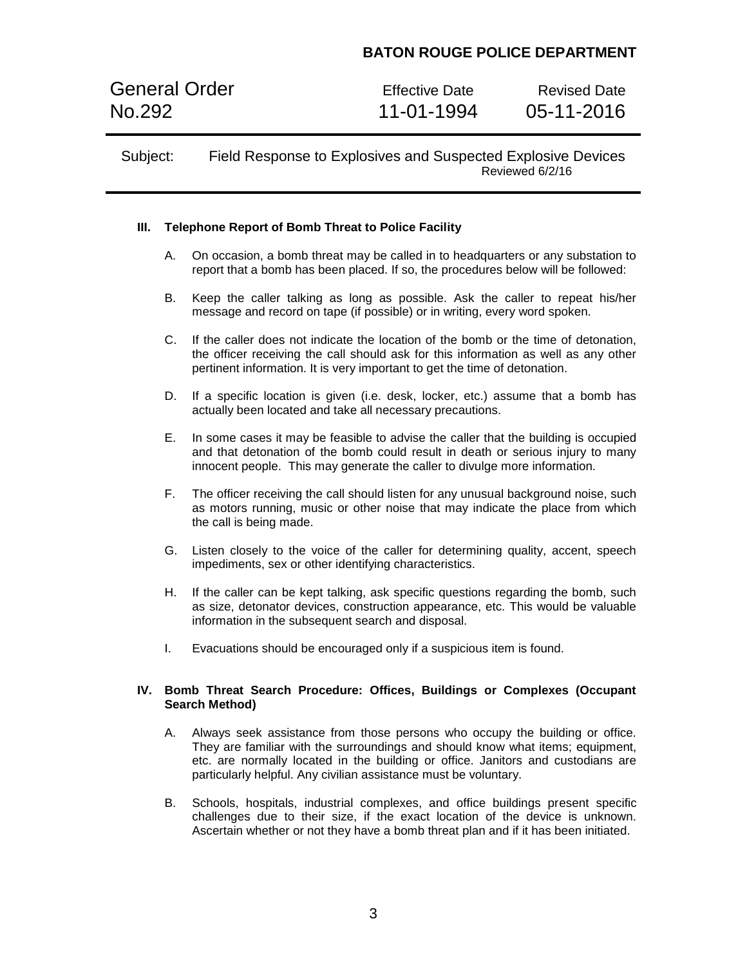General Order **Effective Date** Revised Date No.292 11-01-1994 05-11-2016

### Subject: Field Response to Explosives and Suspected Explosive Devices Reviewed 6/2/16

### **III. Telephone Report of Bomb Threat to Police Facility**

- A. On occasion, a bomb threat may be called in to headquarters or any substation to report that a bomb has been placed. If so, the procedures below will be followed:
- B. Keep the caller talking as long as possible. Ask the caller to repeat his/her message and record on tape (if possible) or in writing, every word spoken.
- C. If the caller does not indicate the location of the bomb or the time of detonation, the officer receiving the call should ask for this information as well as any other pertinent information. It is very important to get the time of detonation.
- D. If a specific location is given (i.e. desk, locker, etc.) assume that a bomb has actually been located and take all necessary precautions.
- E. In some cases it may be feasible to advise the caller that the building is occupied and that detonation of the bomb could result in death or serious injury to many innocent people. This may generate the caller to divulge more information.
- F. The officer receiving the call should listen for any unusual background noise, such as motors running, music or other noise that may indicate the place from which the call is being made.
- G. Listen closely to the voice of the caller for determining quality, accent, speech impediments, sex or other identifying characteristics.
- H. If the caller can be kept talking, ask specific questions regarding the bomb, such as size, detonator devices, construction appearance, etc. This would be valuable information in the subsequent search and disposal.
- I. Evacuations should be encouraged only if a suspicious item is found.

#### **IV. Bomb Threat Search Procedure: Offices, Buildings or Complexes (Occupant Search Method)**

- A. Always seek assistance from those persons who occupy the building or office. They are familiar with the surroundings and should know what items; equipment, etc. are normally located in the building or office. Janitors and custodians are particularly helpful. Any civilian assistance must be voluntary.
- B. Schools, hospitals, industrial complexes, and office buildings present specific challenges due to their size, if the exact location of the device is unknown. Ascertain whether or not they have a bomb threat plan and if it has been initiated.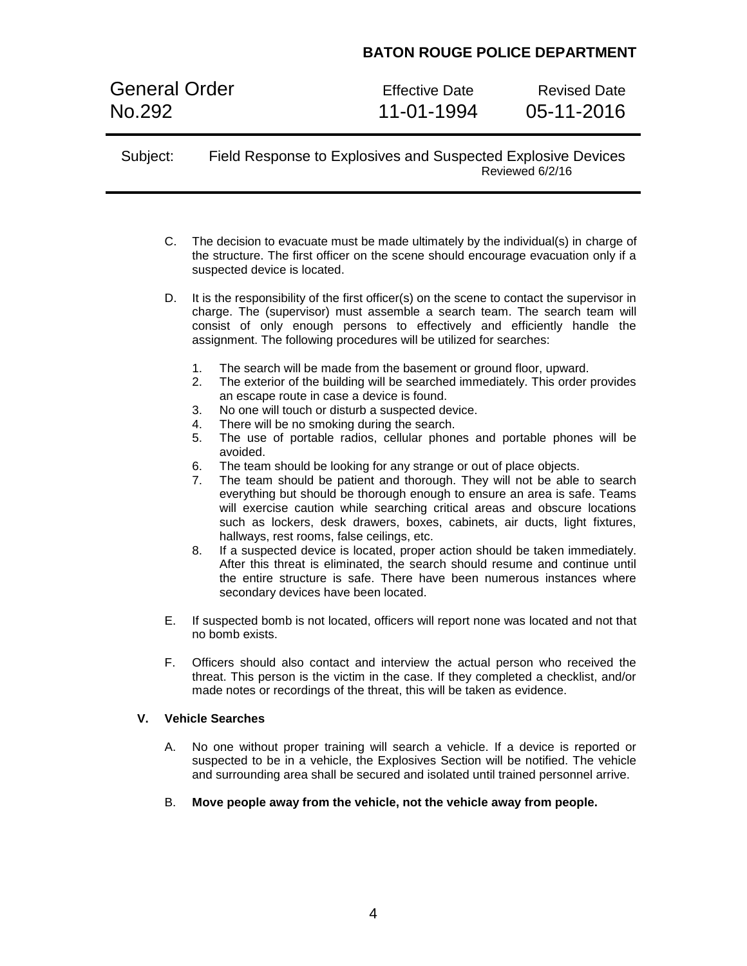General Order **Effective Date** Revised Date No.292 11-01-1994 05-11-2016

Subject: Field Response to Explosives and Suspected Explosive Devices Reviewed 6/2/16

- C. The decision to evacuate must be made ultimately by the individual(s) in charge of the structure. The first officer on the scene should encourage evacuation only if a suspected device is located.
- D. It is the responsibility of the first officer(s) on the scene to contact the supervisor in charge. The (supervisor) must assemble a search team. The search team will consist of only enough persons to effectively and efficiently handle the assignment. The following procedures will be utilized for searches:
	- 1. The search will be made from the basement or ground floor, upward.
	- 2. The exterior of the building will be searched immediately. This order provides an escape route in case a device is found.
	- 3. No one will touch or disturb a suspected device.
	- 4. There will be no smoking during the search.
	- 5. The use of portable radios, cellular phones and portable phones will be avoided.
	- 6. The team should be looking for any strange or out of place objects.
	- 7. The team should be patient and thorough. They will not be able to search everything but should be thorough enough to ensure an area is safe. Teams will exercise caution while searching critical areas and obscure locations such as lockers, desk drawers, boxes, cabinets, air ducts, light fixtures, hallways, rest rooms, false ceilings, etc.
	- 8. If a suspected device is located, proper action should be taken immediately. After this threat is eliminated, the search should resume and continue until the entire structure is safe. There have been numerous instances where secondary devices have been located.
- E. If suspected bomb is not located, officers will report none was located and not that no bomb exists.
- F. Officers should also contact and interview the actual person who received the threat. This person is the victim in the case. If they completed a checklist, and/or made notes or recordings of the threat, this will be taken as evidence.

#### **V. Vehicle Searches**

- A. No one without proper training will search a vehicle. If a device is reported or suspected to be in a vehicle, the Explosives Section will be notified. The vehicle and surrounding area shall be secured and isolated until trained personnel arrive.
- B. **Move people away from the vehicle, not the vehicle away from people.**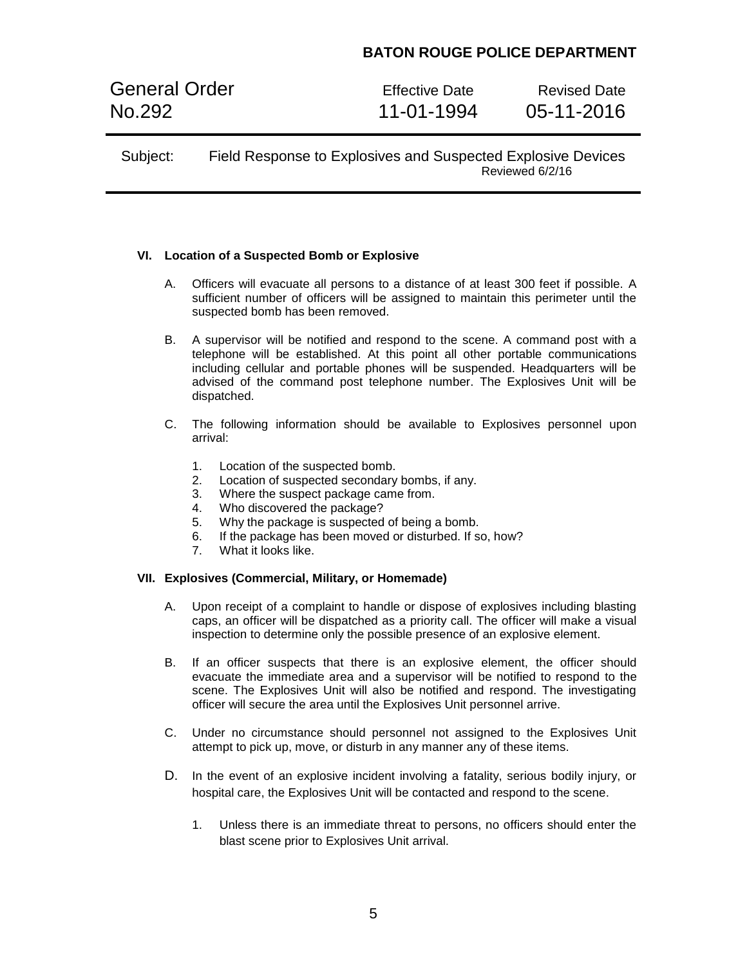General Order **Effective Date** Revised Date No.292 11-01-1994 05-11-2016

### **VI. Location of a Suspected Bomb or Explosive**

- A. Officers will evacuate all persons to a distance of at least 300 feet if possible. A sufficient number of officers will be assigned to maintain this perimeter until the suspected bomb has been removed.
- B. A supervisor will be notified and respond to the scene. A command post with a telephone will be established. At this point all other portable communications including cellular and portable phones will be suspended. Headquarters will be advised of the command post telephone number. The Explosives Unit will be dispatched.
- C. The following information should be available to Explosives personnel upon arrival:
	- 1. Location of the suspected bomb.
	- 2. Location of suspected secondary bombs, if any.
	- 3. Where the suspect package came from.
	- 4. Who discovered the package?
	- 5. Why the package is suspected of being a bomb.
	- 6. If the package has been moved or disturbed. If so, how?
	- 7. What it looks like.

#### **VII. Explosives (Commercial, Military, or Homemade)**

- A. Upon receipt of a complaint to handle or dispose of explosives including blasting caps, an officer will be dispatched as a priority call. The officer will make a visual inspection to determine only the possible presence of an explosive element.
- B. If an officer suspects that there is an explosive element, the officer should evacuate the immediate area and a supervisor will be notified to respond to the scene. The Explosives Unit will also be notified and respond. The investigating officer will secure the area until the Explosives Unit personnel arrive.
- C. Under no circumstance should personnel not assigned to the Explosives Unit attempt to pick up, move, or disturb in any manner any of these items.
- D. In the event of an explosive incident involving a fatality, serious bodily injury, or hospital care, the Explosives Unit will be contacted and respond to the scene.
	- 1. Unless there is an immediate threat to persons, no officers should enter the blast scene prior to Explosives Unit arrival.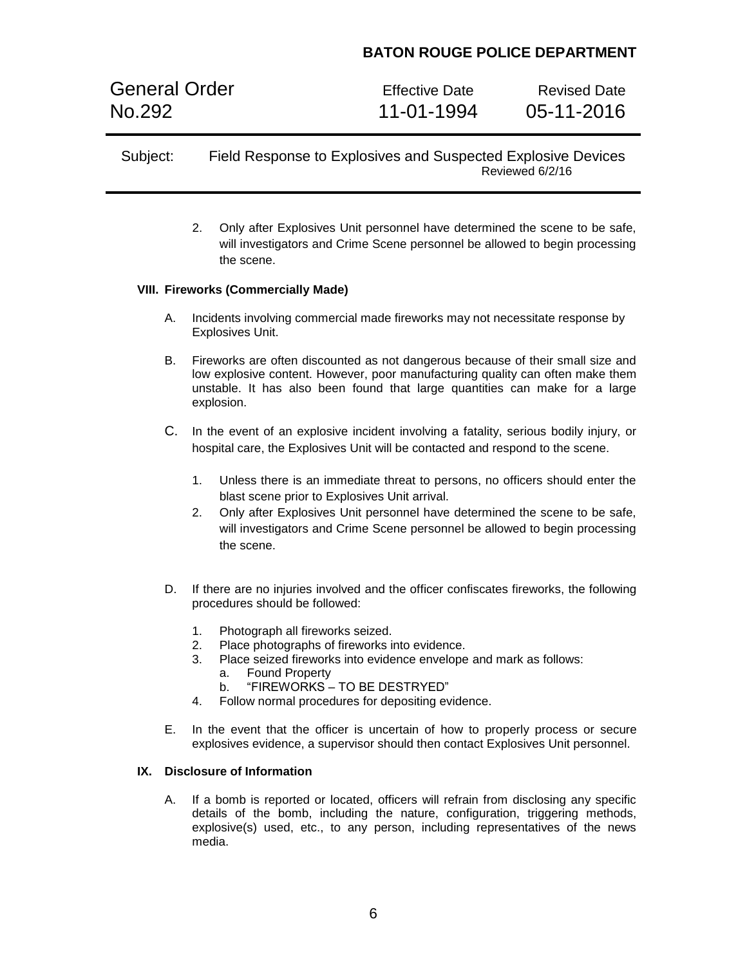General Order **Effective Date** Revised Date No.292 11-01-1994 05-11-2016

## Subject: Field Response to Explosives and Suspected Explosive Devices Reviewed 6/2/16

2. Only after Explosives Unit personnel have determined the scene to be safe, will investigators and Crime Scene personnel be allowed to begin processing the scene.

#### **VIII. Fireworks (Commercially Made)**

- A. Incidents involving commercial made fireworks may not necessitate response by Explosives Unit.
- B. Fireworks are often discounted as not dangerous because of their small size and low explosive content. However, poor manufacturing quality can often make them unstable. It has also been found that large quantities can make for a large explosion.
- C. In the event of an explosive incident involving a fatality, serious bodily injury, or hospital care, the Explosives Unit will be contacted and respond to the scene.
	- 1. Unless there is an immediate threat to persons, no officers should enter the blast scene prior to Explosives Unit arrival.
	- 2. Only after Explosives Unit personnel have determined the scene to be safe, will investigators and Crime Scene personnel be allowed to begin processing the scene.
- D. If there are no injuries involved and the officer confiscates fireworks, the following procedures should be followed:
	- 1. Photograph all fireworks seized.
	- 2. Place photographs of fireworks into evidence.
	- 3. Place seized fireworks into evidence envelope and mark as follows:
		- a. Found Property
		- b. "FIREWORKS TO BE DESTRYED"
	- 4. Follow normal procedures for depositing evidence.
- E. In the event that the officer is uncertain of how to properly process or secure explosives evidence, a supervisor should then contact Explosives Unit personnel.

#### **IX. Disclosure of Information**

A. If a bomb is reported or located, officers will refrain from disclosing any specific details of the bomb, including the nature, configuration, triggering methods, explosive(s) used, etc., to any person, including representatives of the news media.